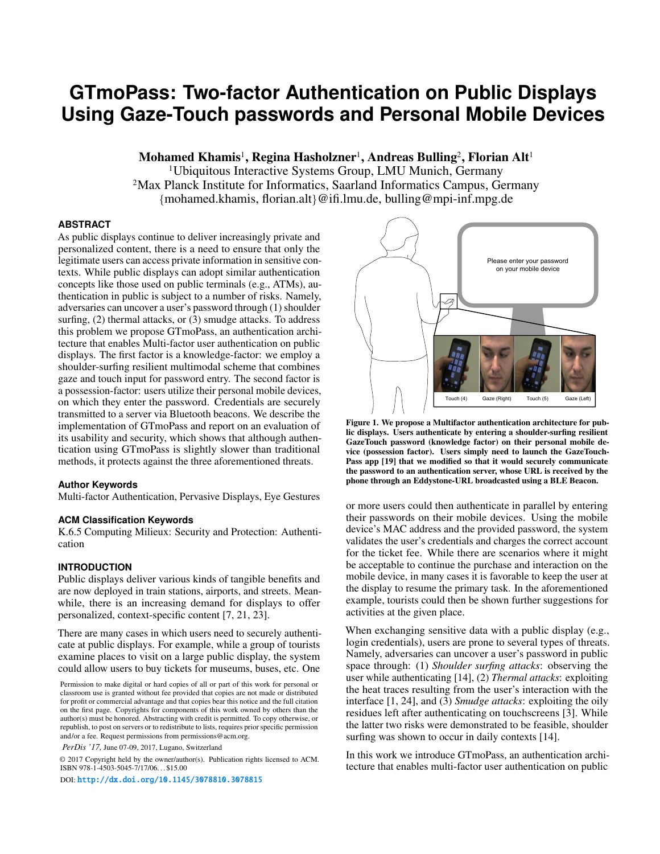# **GTmoPass: Two-factor Authentication on Public Displays Using Gaze-Touch passwords and Personal Mobile Devices**

Mohamed Khamis<sup>1</sup>, Regina Hasholzner<sup>1</sup>, Andreas Bulling<sup>2</sup>, Florian Alt<sup>1</sup>

<sup>1</sup>Ubiquitous Interactive Systems Group, LMU Munich, Germany <sup>2</sup>Max Planck Institute for Informatics, Saarland Informatics Campus, Germany {mohamed.khamis, florian.alt}@ifi.lmu.de, bulling@mpi-inf.mpg.de

# **ABSTRACT**

As public displays continue to deliver increasingly private and personalized content, there is a need to ensure that only the legitimate users can access private information in sensitive contexts. While public displays can adopt similar authentication concepts like those used on public terminals (e.g., ATMs), authentication in public is subject to a number of risks. Namely, adversaries can uncover a user's password through (1) shoulder surfing, (2) thermal attacks, or (3) smudge attacks. To address this problem we propose GTmoPass, an authentication architecture that enables Multi-factor user authentication on public displays. The first factor is a knowledge-factor: we employ a shoulder-surfing resilient multimodal scheme that combines gaze and touch input for password entry. The second factor is a possession-factor: users utilize their personal mobile devices, on which they enter the password. Credentials are securely transmitted to a server via Bluetooth beacons. We describe the implementation of GTmoPass and report on an evaluation of its usability and security, which shows that although authentication using GTmoPass is slightly slower than traditional methods, it protects against the three aforementioned threats.

# **Author Keywords**

Multi-factor Authentication, Pervasive Displays, Eye Gestures

# **ACM Classification Keywords**

K.6.5 Computing Milieux: Security and Protection: Authentication

# **INTRODUCTION**

Public displays deliver various kinds of tangible benefits and are now deployed in train stations, airports, and streets. Meanwhile, there is an increasing demand for displays to offer personalized, context-specific content [\[7,](#page-6-0) [21,](#page-7-0) [23\]](#page-7-1).

There are many cases in which users need to securely authenticate at public displays. For example, while a group of tourists examine places to visit on a large public display, the system could allow users to buy tickets for museums, buses, etc. One

*PerDis '17,* June 07-09, 2017, Lugano, Switzerland

© 2017 Copyright held by the owner/author(s). Publication rights licensed to ACM. ISBN 978-1-4503-5045-7/17/06. . . \$15.00

DOI: <http://dx.doi.org/10.1145/3078810.3078815>



Figure 1. We propose a Multifactor authentication architecture for public displays. Users authenticate by entering a shoulder-surfing resilient GazeTouch password (knowledge factor) on their personal mobile device (possession factor). Users simply need to launch the GazeTouch-Pass app [\[19\]](#page-7-2) that we modified so that it would securely communicate the password to an authentication server, whose URL is received by the phone through an Eddystone-URL broadcasted using a BLE Beacon.

<span id="page-0-0"></span>or more users could then authenticate in parallel by entering their passwords on their mobile devices. Using the mobile device's MAC address and the provided password, the system validates the user's credentials and charges the correct account for the ticket fee. While there are scenarios where it might be acceptable to continue the purchase and interaction on the mobile device, in many cases it is favorable to keep the user at the display to resume the primary task. In the aforementioned example, tourists could then be shown further suggestions for activities at the given place.

When exchanging sensitive data with a public display (e.g., login credentials), users are prone to several types of threats. Namely, adversaries can uncover a user's password in public space through: (1) *Shoulder surfing attacks*: observing the user while authenticating [\[14\]](#page-6-1), (2) *Thermal attacks*: exploiting the heat traces resulting from the user's interaction with the interface [\[1,](#page-6-2) [24\]](#page-7-3), and (3) *Smudge attacks*: exploiting the oily residues left after authenticating on touchscreens [\[3\]](#page-6-3). While the latter two risks were demonstrated to be feasible, shoulder surfing was shown to occur in daily contexts [\[14\]](#page-6-1).

In this work we introduce GTmoPass, an authentication architecture that enables multi-factor user authentication on public

Permission to make digital or hard copies of all or part of this work for personal or classroom use is granted without fee provided that copies are not made or distributed for profit or commercial advantage and that copies bear this notice and the full citation on the first page. Copyrights for components of this work owned by others than the author(s) must be honored. Abstracting with credit is permitted. To copy otherwise, or republish, to post on servers or to redistribute to lists, requires prior specific permission and/or a fee. Request permissions from permissions@acm.org.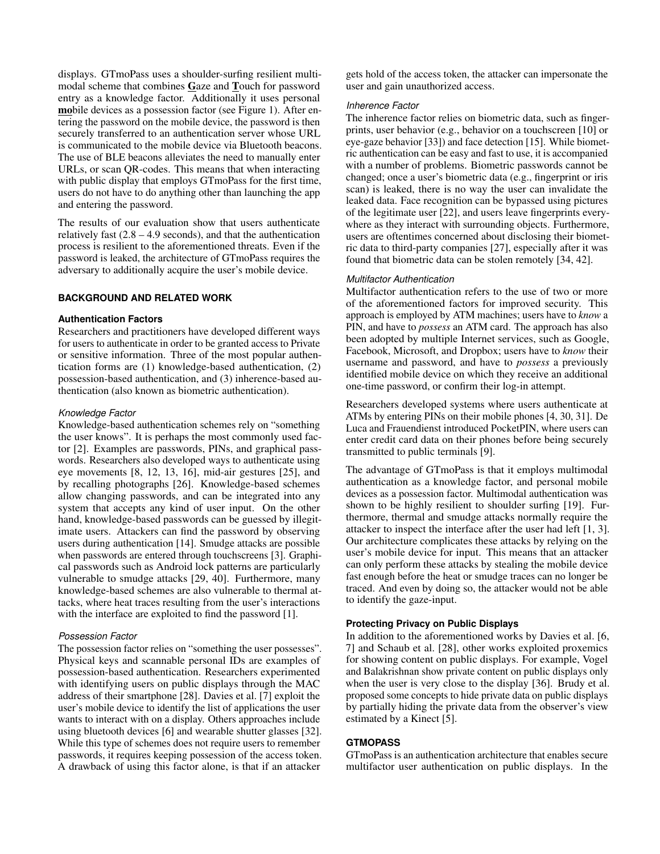displays. GTmoPass uses a shoulder-surfing resilient multimodal scheme that combines Gaze and Touch for password entry as a knowledge factor. Additionally it uses personal mobile devices as a possession factor (see Figure [1\)](#page-0-0). After entering the password on the mobile device, the password is then securely transferred to an authentication server whose URL is communicated to the mobile device via Bluetooth beacons. The use of BLE beacons alleviates the need to manually enter URLs, or scan QR-codes. This means that when interacting with public display that employs GTmoPass for the first time, users do not have to do anything other than launching the app and entering the password.

The results of our evaluation show that users authenticate relatively fast  $(2.8 - 4.9$  seconds), and that the authentication process is resilient to the aforementioned threats. Even if the password is leaked, the architecture of GTmoPass requires the adversary to additionally acquire the user's mobile device.

# **BACKGROUND AND RELATED WORK**

## **Authentication Factors**

Researchers and practitioners have developed different ways for users to authenticate in order to be granted access to Private or sensitive information. Three of the most popular authentication forms are (1) knowledge-based authentication, (2) possession-based authentication, and (3) inherence-based authentication (also known as biometric authentication).

#### *Knowledge Factor*

Knowledge-based authentication schemes rely on "something the user knows". It is perhaps the most commonly used factor [\[2\]](#page-6-4). Examples are passwords, PINs, and graphical passwords. Researchers also developed ways to authenticate using eye movements [\[8,](#page-6-5) [12,](#page-6-6) [13,](#page-6-7) [16\]](#page-6-8), mid-air gestures [\[25\]](#page-7-4), and by recalling photographs [\[26\]](#page-7-5). Knowledge-based schemes allow changing passwords, and can be integrated into any system that accepts any kind of user input. On the other hand, knowledge-based passwords can be guessed by illegitimate users. Attackers can find the password by observing users during authentication [\[14\]](#page-6-1). Smudge attacks are possible when passwords are entered through touchscreens [\[3\]](#page-6-3). Graphical passwords such as Android lock patterns are particularly vulnerable to smudge attacks [\[29,](#page-7-6) [40\]](#page-8-0). Furthermore, many knowledge-based schemes are also vulnerable to thermal attacks, where heat traces resulting from the user's interactions with the interface are exploited to find the password [\[1\]](#page-6-2).

### *Possession Factor*

The possession factor relies on "something the user possesses". Physical keys and scannable personal IDs are examples of possession-based authentication. Researchers experimented with identifying users on public displays through the MAC address of their smartphone [\[28\]](#page-7-7). Davies et al. [\[7\]](#page-6-0) exploit the user's mobile device to identify the list of applications the user wants to interact with on a display. Others approaches include using bluetooth devices [\[6\]](#page-6-9) and wearable shutter glasses [\[32\]](#page-7-8). While this type of schemes does not require users to remember passwords, it requires keeping possession of the access token. A drawback of using this factor alone, is that if an attacker

gets hold of the access token, the attacker can impersonate the user and gain unauthorized access.

#### *Inherence Factor*

The inherence factor relies on biometric data, such as fingerprints, user behavior (e.g., behavior on a touchscreen [\[10\]](#page-6-10) or eye-gaze behavior [\[33\]](#page-7-9)) and face detection [\[15\]](#page-6-11). While biometric authentication can be easy and fast to use, it is accompanied with a number of problems. Biometric passwords cannot be changed; once a user's biometric data (e.g., fingerprint or iris scan) is leaked, there is no way the user can invalidate the leaked data. Face recognition can be bypassed using pictures of the legitimate user [\[22\]](#page-7-10), and users leave fingerprints everywhere as they interact with surrounding objects. Furthermore, users are oftentimes concerned about disclosing their biometric data to third-party companies [\[27\]](#page-7-11), especially after it was found that biometric data can be stolen remotely [\[34,](#page-7-12) [42\]](#page-8-1).

## *Multifactor Authentication*

Multifactor authentication refers to the use of two or more of the aforementioned factors for improved security. This approach is employed by ATM machines; users have to *know* a PIN, and have to *possess* an ATM card. The approach has also been adopted by multiple Internet services, such as Google, Facebook, Microsoft, and Dropbox; users have to *know* their username and password, and have to *possess* a previously identified mobile device on which they receive an additional one-time password, or confirm their log-in attempt.

Researchers developed systems where users authenticate at ATMs by entering PINs on their mobile phones [\[4,](#page-6-12) [30,](#page-7-13) [31\]](#page-7-14). De Luca and Frauendienst introduced PocketPIN, where users can enter credit card data on their phones before being securely transmitted to public terminals [\[9\]](#page-6-13).

The advantage of GTmoPass is that it employs multimodal authentication as a knowledge factor, and personal mobile devices as a possession factor. Multimodal authentication was shown to be highly resilient to shoulder surfing [\[19\]](#page-7-2). Furthermore, thermal and smudge attacks normally require the attacker to inspect the interface after the user had left [\[1,](#page-6-2) [3\]](#page-6-3). Our architecture complicates these attacks by relying on the user's mobile device for input. This means that an attacker can only perform these attacks by stealing the mobile device fast enough before the heat or smudge traces can no longer be traced. And even by doing so, the attacker would not be able to identify the gaze-input.

# **Protecting Privacy on Public Displays**

In addition to the aforementioned works by Davies et al. [\[6,](#page-6-9) [7\]](#page-6-0) and Schaub et al. [\[28\]](#page-7-7), other works exploited proxemics for showing content on public displays. For example, Vogel and Balakrishnan show private content on public displays only when the user is very close to the display [\[36\]](#page-8-2). Brudy et al. proposed some concepts to hide private data on public displays by partially hiding the private data from the observer's view estimated by a Kinect [\[5\]](#page-6-14).

# **GTMOPASS**

GTmoPass is an authentication architecture that enables secure multifactor user authentication on public displays. In the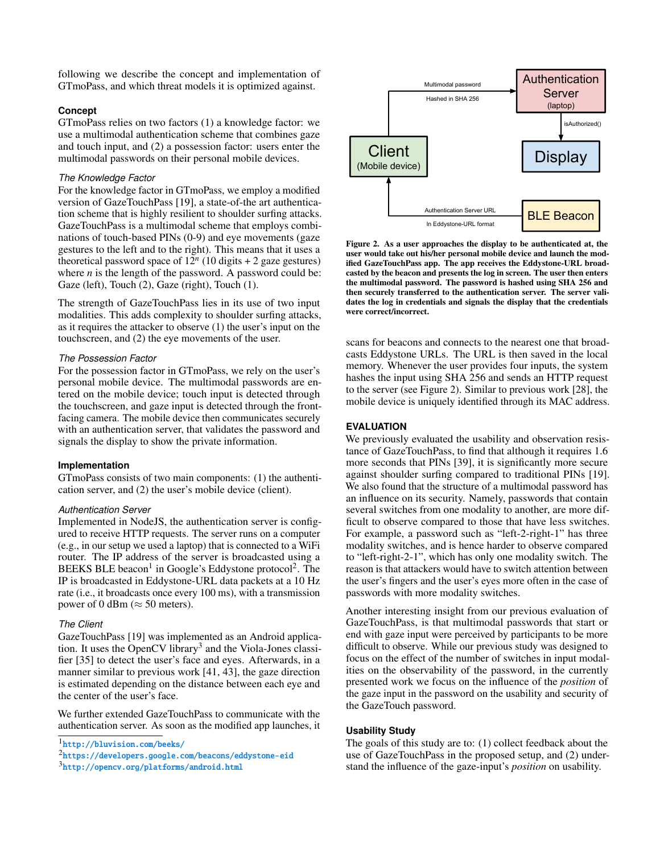following we describe the concept and implementation of GTmoPass, and which threat models it is optimized against.

# **Concept**

GTmoPass relies on two factors (1) a knowledge factor: we use a multimodal authentication scheme that combines gaze and touch input, and (2) a possession factor: users enter the multimodal passwords on their personal mobile devices.

# *The Knowledge Factor*

For the knowledge factor in GTmoPass, we employ a modified version of GazeTouchPass [\[19\]](#page-7-2), a state-of-the art authentication scheme that is highly resilient to shoulder surfing attacks. GazeTouchPass is a multimodal scheme that employs combinations of touch-based PINs (0-9) and eye movements (gaze gestures to the left and to the right). This means that it uses a theoretical password space of  $12^n$  (10 digits  $+ 2$  gaze gestures) where  $n$  is the length of the password. A password could be: Gaze (left), Touch (2), Gaze (right), Touch (1).

The strength of GazeTouchPass lies in its use of two input modalities. This adds complexity to shoulder surfing attacks, as it requires the attacker to observe (1) the user's input on the touchscreen, and (2) the eye movements of the user.

#### *The Possession Factor*

For the possession factor in GTmoPass, we rely on the user's personal mobile device. The multimodal passwords are entered on the mobile device; touch input is detected through the touchscreen, and gaze input is detected through the frontfacing camera. The mobile device then communicates securely with an authentication server, that validates the password and signals the display to show the private information.

#### **Implementation**

GTmoPass consists of two main components: (1) the authentication server, and (2) the user's mobile device (client).

## *Authentication Server*

Implemented in NodeJS, the authentication server is configured to receive HTTP requests. The server runs on a computer (e.g., in our setup we used a laptop) that is connected to a WiFi router. The IP address of the server is broadcasted using a BEEKS BLE beacon<sup>[1](#page-2-0)</sup> in Google's Eddystone protocol<sup>[2](#page-2-1)</sup>. The IP is broadcasted in Eddystone-URL data packets at a 10 Hz rate (i.e., it broadcasts once every 100 ms), with a transmission power of 0 dBm ( $\approx$  50 meters).

### *The Client*

GazeTouchPass [\[19\]](#page-7-2) was implemented as an Android applica-tion. It uses the OpenCV library<sup>[3](#page-2-2)</sup> and the Viola-Jones classifier [\[35\]](#page-8-3) to detect the user's face and eyes. Afterwards, in a manner similar to previous work [\[41,](#page-8-4) [43\]](#page-8-5), the gaze direction is estimated depending on the distance between each eye and the center of the user's face.

We further extended GazeTouchPass to communicate with the authentication server. As soon as the modified app launches, it

<span id="page-2-0"></span>1 <http://bluvision.com/beeks/>

<span id="page-2-1"></span> $^2$ <https://developers.google.com/beacons/eddystone-eid>

<span id="page-2-2"></span>3 <http://opencv.org/platforms/android.html>



<span id="page-2-3"></span>Figure 2. As a user approaches the display to be authenticated at, the user would take out his/her personal mobile device and launch the modified GazeTouchPass app. The app receives the Eddystone-URL broadcasted by the beacon and presents the log in screen. The user then enters the multimodal password. The password is hashed using SHA 256 and then securely transferred to the authentication server. The server validates the log in credentials and signals the display that the credentials were correct/incorrect.

scans for beacons and connects to the nearest one that broadcasts Eddystone URLs. The URL is then saved in the local memory. Whenever the user provides four inputs, the system hashes the input using SHA 256 and sends an HTTP request to the server (see Figure [2\)](#page-2-3). Similar to previous work [\[28\]](#page-7-7), the mobile device is uniquely identified through its MAC address.

## **EVALUATION**

We previously evaluated the usability and observation resistance of GazeTouchPass, to find that although it requires 1.6 more seconds that PINs [\[39\]](#page-8-6), it is significantly more secure against shoulder surfing compared to traditional PINs [\[19\]](#page-7-2). We also found that the structure of a multimodal password has an influence on its security. Namely, passwords that contain several switches from one modality to another, are more difficult to observe compared to those that have less switches. For example, a password such as "left-2-right-1" has three modality switches, and is hence harder to observe compared to "left-right-2-1", which has only one modality switch. The reason is that attackers would have to switch attention between the user's fingers and the user's eyes more often in the case of passwords with more modality switches.

Another interesting insight from our previous evaluation of GazeTouchPass, is that multimodal passwords that start or end with gaze input were perceived by participants to be more difficult to observe. While our previous study was designed to focus on the effect of the number of switches in input modalities on the observability of the password, in the currently presented work we focus on the influence of the *position* of the gaze input in the password on the usability and security of the GazeTouch password.

# **Usability Study**

The goals of this study are to: (1) collect feedback about the use of GazeTouchPass in the proposed setup, and (2) understand the influence of the gaze-input's *position* on usability.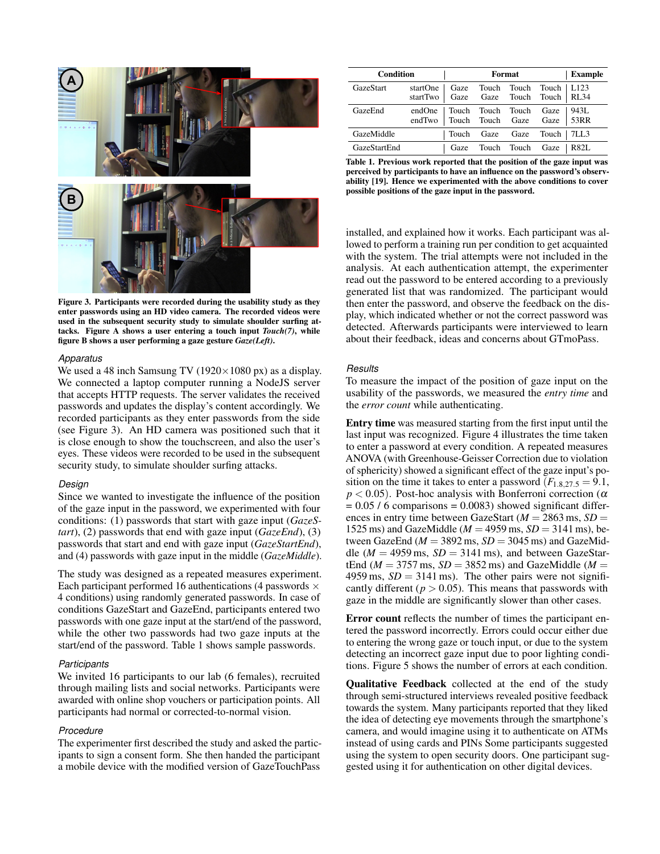

Figure 3. Participants were recorded during the usability study as they enter passwords using an HD video camera. The recorded videos were used in the subsequent security study to simulate shoulder surfing attacks. Figure A shows a user entering a touch input *Touch(7)*, while figure B shows a user performing a gaze gesture *Gaze(Left)*.

#### <span id="page-3-0"></span>*Apparatus*

We used a 48 inch Samsung TV ( $1920 \times 1080$  px) as a display. We connected a laptop computer running a NodeJS server that accepts HTTP requests. The server validates the received passwords and updates the display's content accordingly. We recorded participants as they enter passwords from the side (see Figure [3\)](#page-3-0). An HD camera was positioned such that it is close enough to show the touchscreen, and also the user's eyes. These videos were recorded to be used in the subsequent security study, to simulate shoulder surfing attacks.

#### *Design*

Since we wanted to investigate the influence of the position of the gaze input in the password, we experimented with four conditions: (1) passwords that start with gaze input (*GazeStart*), (2) passwords that end with gaze input (*GazeEnd*), (3) passwords that start and end with gaze input (*GazeStartEnd*), and (4) passwords with gaze input in the middle (*GazeMiddle*).

The study was designed as a repeated measures experiment. Each participant performed 16 authentications (4 passwords  $\times$ 4 conditions) using randomly generated passwords. In case of conditions GazeStart and GazeEnd, participants entered two passwords with one gaze input at the start/end of the password, while the other two passwords had two gaze inputs at the start/end of the password. Table [1](#page-3-1) shows sample passwords.

# *Participants*

We invited 16 participants to our lab (6 females), recruited through mailing lists and social networks. Participants were awarded with online shop vouchers or participation points. All participants had normal or corrected-to-normal vision.

#### *Procedure*

The experimenter first described the study and asked the participants to sign a consent form. She then handed the participant a mobile device with the modified version of GazeTouchPass

| Condition        |                                                   |                                                                 | <b>Example</b>                |  |      |
|------------------|---------------------------------------------------|-----------------------------------------------------------------|-------------------------------|--|------|
| <b>GazeStart</b> | startOne  <br>startTwo Gaze Gaze Touch Touch RL34 |                                                                 | Gaze Touch Touch Touch   L123 |  |      |
| GazeEnd          | endOne<br>endTwo                                  | Touch Touch Touch Gaze   943L<br>  Touch Touch Gaze Gaze   53RR |                               |  |      |
| GazeMiddle       |                                                   | Touch                                                           | Gaze Gaze Touch   7LL3        |  |      |
| GazeStartEnd     |                                                   | Gaze                                                            | Touch Touch Gaze              |  | R82L |

<span id="page-3-1"></span>Table 1. Previous work reported that the position of the gaze input was perceived by participants to have an influence on the password's observability [\[19\]](#page-7-2). Hence we experimented with the above conditions to cover possible positions of the gaze input in the password.

installed, and explained how it works. Each participant was allowed to perform a training run per condition to get acquainted with the system. The trial attempts were not included in the analysis. At each authentication attempt, the experimenter read out the password to be entered according to a previously generated list that was randomized. The participant would then enter the password, and observe the feedback on the display, which indicated whether or not the correct password was detected. Afterwards participants were interviewed to learn about their feedback, ideas and concerns about GTmoPass.

#### *Results*

To measure the impact of the position of gaze input on the usability of the passwords, we measured the *entry time* and the *error count* while authenticating.

Entry time was measured starting from the first input until the last input was recognized. Figure [4](#page-4-0) illustrates the time taken to enter a password at every condition. A repeated measures ANOVA (with Greenhouse-Geisser Correction due to violation of sphericity) showed a significant effect of the gaze input's position on the time it takes to enter a password  $(F_{1.8,27.5} = 9.1,$  $p < 0.05$ ). Post-hoc analysis with Bonferroni correction ( $\alpha$  $= 0.05 / 6$  comparisons  $= 0.0083$ ) showed significant differences in entry time between GazeStart ( $M = 2863$  ms,  $SD =$ 1525 ms) and GazeMiddle ( $M = 4959$  ms,  $SD = 3141$  ms), between GazeEnd ( $M = 3892$  ms,  $SD = 3045$  ms) and GazeMiddle ( $M = 4959$  ms,  $SD = 3141$  ms), and between GazeStartEnd ( $M = 3757$  ms,  $SD = 3852$  ms) and GazeMiddle ( $M =$  $4959 \text{ ms}$ ,  $SD = 3141 \text{ ms}$ ). The other pairs were not significantly different ( $p > 0.05$ ). This means that passwords with gaze in the middle are significantly slower than other cases.

Error count reflects the number of times the participant entered the password incorrectly. Errors could occur either due to entering the wrong gaze or touch input, or due to the system detecting an incorrect gaze input due to poor lighting conditions. Figure [5](#page-4-1) shows the number of errors at each condition.

Qualitative Feedback collected at the end of the study through semi-structured interviews revealed positive feedback towards the system. Many participants reported that they liked the idea of detecting eye movements through the smartphone's camera, and would imagine using it to authenticate on ATMs instead of using cards and PINs Some participants suggested using the system to open security doors. One participant suggested using it for authentication on other digital devices.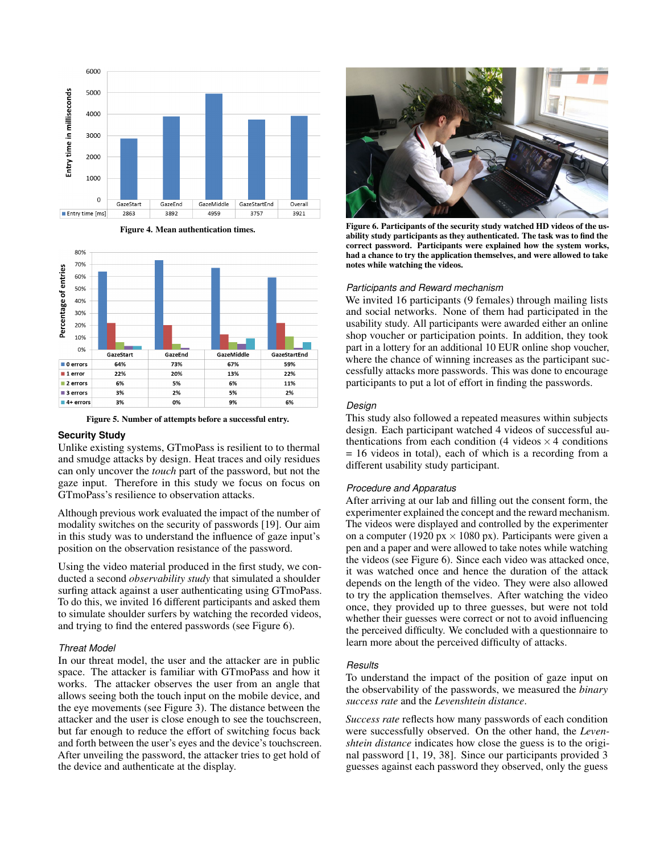

<span id="page-4-0"></span>Figure 4. Mean authentication times.



<span id="page-4-1"></span>

## **Security Study**

Unlike existing systems, GTmoPass is resilient to to thermal and smudge attacks by design. Heat traces and oily residues can only uncover the *touch* part of the password, but not the gaze input. Therefore in this study we focus on focus on GTmoPass's resilience to observation attacks.

Although previous work evaluated the impact of the number of modality switches on the security of passwords [\[19\]](#page-7-2). Our aim in this study was to understand the influence of gaze input's position on the observation resistance of the password.

Using the video material produced in the first study, we conducted a second *observability study* that simulated a shoulder surfing attack against a user authenticating using GTmoPass. To do this, we invited 16 different participants and asked them to simulate shoulder surfers by watching the recorded videos, and trying to find the entered passwords (see Figure [6\)](#page-4-2).

## *Threat Model*

In our threat model, the user and the attacker are in public space. The attacker is familiar with GTmoPass and how it works. The attacker observes the user from an angle that allows seeing both the touch input on the mobile device, and the eye movements (see Figure [3\)](#page-3-0). The distance between the attacker and the user is close enough to see the touchscreen, but far enough to reduce the effort of switching focus back and forth between the user's eyes and the device's touchscreen. After unveiling the password, the attacker tries to get hold of the device and authenticate at the display.



Figure 6. Participants of the security study watched HD videos of the usability study participants as they authenticated. The task was to find the correct password. Participants were explained how the system works, had a chance to try the application themselves, and were allowed to take notes while watching the videos.

## <span id="page-4-2"></span>*Participants and Reward mechanism*

We invited 16 participants (9 females) through mailing lists and social networks. None of them had participated in the usability study. All participants were awarded either an online shop voucher or participation points. In addition, they took part in a lottery for an additional 10 EUR online shop voucher, where the chance of winning increases as the participant successfully attacks more passwords. This was done to encourage participants to put a lot of effort in finding the passwords.

## *Design*

This study also followed a repeated measures within subjects design. Each participant watched 4 videos of successful authentications from each condition (4 videos  $\times$  4 conditions = 16 videos in total), each of which is a recording from a different usability study participant.

#### *Procedure and Apparatus*

After arriving at our lab and filling out the consent form, the experimenter explained the concept and the reward mechanism. The videos were displayed and controlled by the experimenter on a computer (1920 px  $\times$  1080 px). Participants were given a pen and a paper and were allowed to take notes while watching the videos (see Figure [6\)](#page-4-2). Since each video was attacked once, it was watched once and hence the duration of the attack depends on the length of the video. They were also allowed to try the application themselves. After watching the video once, they provided up to three guesses, but were not told whether their guesses were correct or not to avoid influencing the perceived difficulty. We concluded with a questionnaire to learn more about the perceived difficulty of attacks.

#### *Results*

To understand the impact of the position of gaze input on the observability of the passwords, we measured the *binary success rate* and the *Levenshtein distance*.

*Success rate* reflects how many passwords of each condition were successfully observed. On the other hand, the *Levenshtein distance* indicates how close the guess is to the original password [\[1,](#page-6-2) [19,](#page-7-2) [38\]](#page-8-7). Since our participants provided 3 guesses against each password they observed, only the guess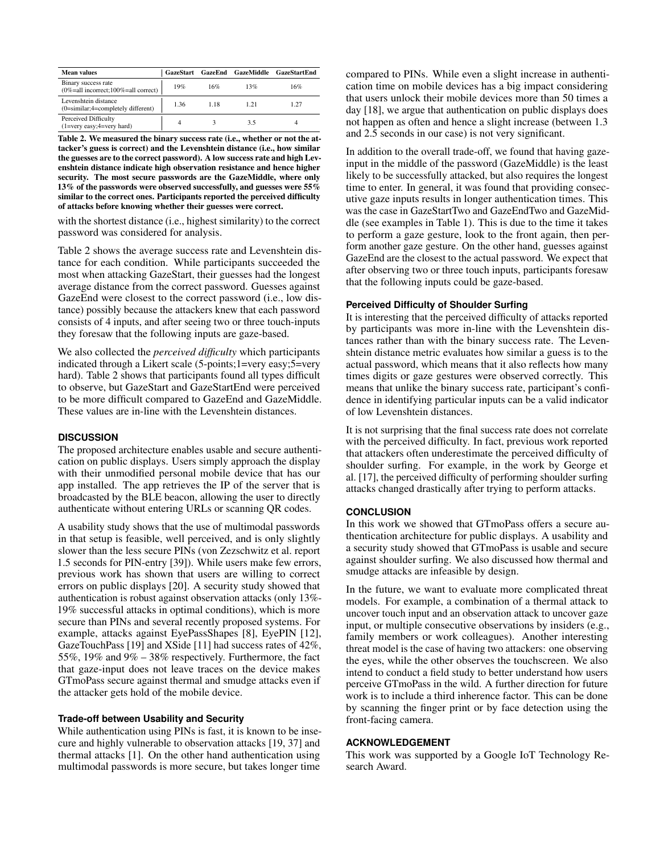| <b>Mean values</b>                                                                |      |      |      | GazeStart GazeEnd GazeMiddle GazeStartEnd |
|-----------------------------------------------------------------------------------|------|------|------|-------------------------------------------|
| Binary success rate<br>$(0\% = \text{all incorrect}; 100\% = \text{all correct})$ | 19%  | 16%  | 13%  | 16%                                       |
| Levenshtein distance<br>$(0=similar; 4=completely different)$                     | 1.36 | 1.18 | 1.21 | 1.27                                      |
| Perceived Difficulty<br>$(1=very easy; 4=very hard)$                              | 4    |      | 3.5  |                                           |

<span id="page-5-0"></span>Table 2. We measured the binary success rate (i.e., whether or not the attacker's guess is correct) and the Levenshtein distance (i.e., how similar the guesses are to the correct password). A low success rate and high Levenshtein distance indicate high observation resistance and hence higher security. The most secure passwords are the GazeMiddle, where only 13% of the passwords were observed successfully, and guesses were 55% similar to the correct ones. Participants reported the perceived difficulty of attacks before knowing whether their guesses were correct.

with the shortest distance (i.e., highest similarity) to the correct password was considered for analysis.

Table [2](#page-5-0) shows the average success rate and Levenshtein distance for each condition. While participants succeeded the most when attacking GazeStart, their guesses had the longest average distance from the correct password. Guesses against GazeEnd were closest to the correct password (i.e., low distance) possibly because the attackers knew that each password consists of 4 inputs, and after seeing two or three touch-inputs they foresaw that the following inputs are gaze-based.

We also collected the *perceived difficulty* which participants indicated through a Likert scale (5-points;1=very easy;5=very hard). Table [2](#page-5-0) shows that participants found all types difficult to observe, but GazeStart and GazeStartEnd were perceived to be more difficult compared to GazeEnd and GazeMiddle. These values are in-line with the Levenshtein distances.

## **DISCUSSION**

The proposed architecture enables usable and secure authentication on public displays. Users simply approach the display with their unmodified personal mobile device that has our app installed. The app retrieves the IP of the server that is broadcasted by the BLE beacon, allowing the user to directly authenticate without entering URLs or scanning QR codes.

A usability study shows that the use of multimodal passwords in that setup is feasible, well perceived, and is only slightly slower than the less secure PINs (von Zezschwitz et al. report 1.5 seconds for PIN-entry [\[39\]](#page-8-6)). While users make few errors, previous work has shown that users are willing to correct errors on public displays [\[20\]](#page-7-15). A security study showed that authentication is robust against observation attacks (only 13%- 19% successful attacks in optimal conditions), which is more secure than PINs and several recently proposed systems. For example, attacks against EyePassShapes [\[8\]](#page-6-5), EyePIN [\[12\]](#page-6-6), GazeTouchPass [\[19\]](#page-7-2) and XSide [\[11\]](#page-6-15) had success rates of 42%, 55%, 19% and 9% – 38% respectively. Furthermore, the fact that gaze-input does not leave traces on the device makes GTmoPass secure against thermal and smudge attacks even if the attacker gets hold of the mobile device.

## **Trade-off between Usability and Security**

While authentication using PINs is fast, it is known to be insecure and highly vulnerable to observation attacks [\[19,](#page-7-2) [37\]](#page-8-8) and thermal attacks [\[1\]](#page-6-2). On the other hand authentication using multimodal passwords is more secure, but takes longer time

compared to PINs. While even a slight increase in authentication time on mobile devices has a big impact considering that users unlock their mobile devices more than 50 times a day [\[18\]](#page-7-16), we argue that authentication on public displays does not happen as often and hence a slight increase (between 1.3 and 2.5 seconds in our case) is not very significant.

In addition to the overall trade-off, we found that having gazeinput in the middle of the password (GazeMiddle) is the least likely to be successfully attacked, but also requires the longest time to enter. In general, it was found that providing consecutive gaze inputs results in longer authentication times. This was the case in GazeStartTwo and GazeEndTwo and GazeMiddle (see examples in Table [1\)](#page-3-1). This is due to the time it takes to perform a gaze gesture, look to the front again, then perform another gaze gesture. On the other hand, guesses against GazeEnd are the closest to the actual password. We expect that after observing two or three touch inputs, participants foresaw that the following inputs could be gaze-based.

# **Perceived Difficulty of Shoulder Surfing**

It is interesting that the perceived difficulty of attacks reported by participants was more in-line with the Levenshtein distances rather than with the binary success rate. The Levenshtein distance metric evaluates how similar a guess is to the actual password, which means that it also reflects how many times digits or gaze gestures were observed correctly. This means that unlike the binary success rate, participant's confidence in identifying particular inputs can be a valid indicator of low Levenshtein distances.

It is not surprising that the final success rate does not correlate with the perceived difficulty. In fact, previous work reported that attackers often underestimate the perceived difficulty of shoulder surfing. For example, in the work by George et al. [\[17\]](#page-6-16), the perceived difficulty of performing shoulder surfing attacks changed drastically after trying to perform attacks.

## **CONCLUSION**

In this work we showed that GTmoPass offers a secure authentication architecture for public displays. A usability and a security study showed that GTmoPass is usable and secure against shoulder surfing. We also discussed how thermal and smudge attacks are infeasible by design.

In the future, we want to evaluate more complicated threat models. For example, a combination of a thermal attack to uncover touch input and an observation attack to uncover gaze input, or multiple consecutive observations by insiders (e.g., family members or work colleagues). Another interesting threat model is the case of having two attackers: one observing the eyes, while the other observes the touchscreen. We also intend to conduct a field study to better understand how users perceive GTmoPass in the wild. A further direction for future work is to include a third inherence factor. This can be done by scanning the finger print or by face detection using the front-facing camera.

# **ACKNOWLEDGEMENT**

This work was supported by a Google IoT Technology Research Award.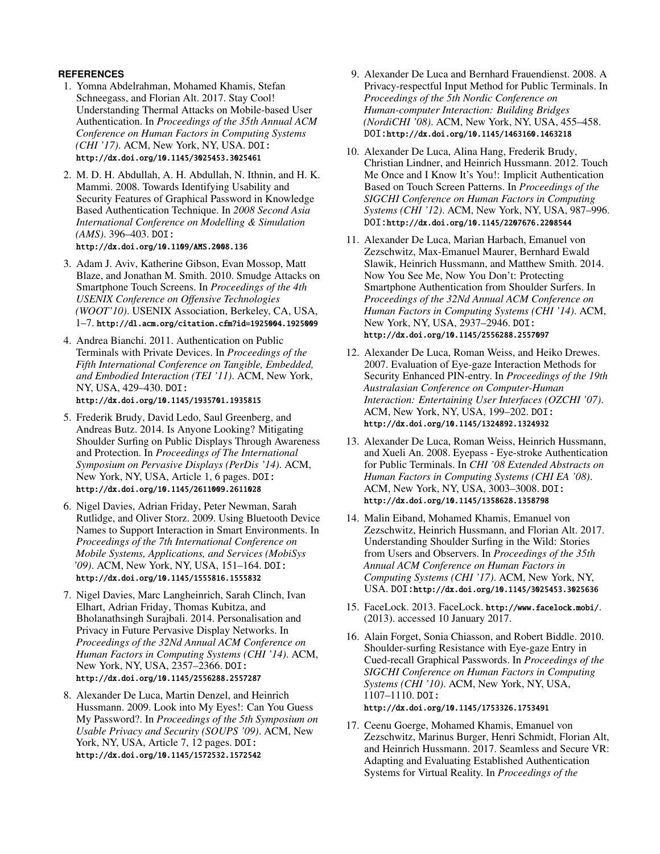# <span id="page-6-2"></span>**REFERENCES**

- 1. Yomna Abdelrahman, Mohamed Khamis, Stefan Schneegass, and Florian Alt. 2017. Stay Cool! Understanding Thermal Attacks on Mobile-based User Authentication. In *Proceedings of the 35th Annual ACM Conference on Human Factors in Computing Systems (CHI '17)*. ACM, New York, NY, USA. DOI: <http://dx.doi.org/10.1145/3025453.3025461>
- <span id="page-6-4"></span>2. M. D. H. Abdullah, A. H. Abdullah, N. Ithnin, and H. K. Mammi. 2008. Towards Identifying Usability and Security Features of Graphical Password in Knowledge Based Authentication Technique. In *2008 Second Asia International Conference on Modelling & Simulation (AMS)*. 396–403. DOI: <http://dx.doi.org/10.1109/AMS.2008.136>
- <span id="page-6-3"></span>3. Adam J. Aviv, Katherine Gibson, Evan Mossop, Matt Blaze, and Jonathan M. Smith. 2010. Smudge Attacks on Smartphone Touch Screens. In *Proceedings of the 4th USENIX Conference on Offensive Technologies (WOOT'10)*. USENIX Association, Berkeley, CA, USA, 1–7. <http://dl.acm.org/citation.cfm?id=1925004.1925009>
- <span id="page-6-12"></span>4. Andrea Bianchi. 2011. Authentication on Public Terminals with Private Devices. In *Proceedings of the Fifth International Conference on Tangible, Embedded, and Embodied Interaction (TEI '11)*. ACM, New York, NY, USA, 429–430. DOI:

# <http://dx.doi.org/10.1145/1935701.1935815>

- <span id="page-6-14"></span>5. Frederik Brudy, David Ledo, Saul Greenberg, and Andreas Butz. 2014. Is Anyone Looking? Mitigating Shoulder Surfing on Public Displays Through Awareness and Protection. In *Proceedings of The International Symposium on Pervasive Displays (PerDis '14)*. ACM, New York, NY, USA, Article 1, 6 pages. DOI: <http://dx.doi.org/10.1145/2611009.2611028>
- <span id="page-6-9"></span>6. Nigel Davies, Adrian Friday, Peter Newman, Sarah Rutlidge, and Oliver Storz. 2009. Using Bluetooth Device Names to Support Interaction in Smart Environments. In *Proceedings of the 7th International Conference on Mobile Systems, Applications, and Services (MobiSys '09)*. ACM, New York, NY, USA, 151–164. DOI: <http://dx.doi.org/10.1145/1555816.1555832>
- <span id="page-6-0"></span>7. Nigel Davies, Marc Langheinrich, Sarah Clinch, Ivan Elhart, Adrian Friday, Thomas Kubitza, and Bholanathsingh Surajbali. 2014. Personalisation and Privacy in Future Pervasive Display Networks. In *Proceedings of the 32Nd Annual ACM Conference on Human Factors in Computing Systems (CHI '14)*. ACM, New York, NY, USA, 2357–2366. DOI: <http://dx.doi.org/10.1145/2556288.2557287>
- <span id="page-6-5"></span>8. Alexander De Luca, Martin Denzel, and Heinrich Hussmann. 2009. Look into My Eyes!: Can You Guess My Password?. In *Proceedings of the 5th Symposium on Usable Privacy and Security (SOUPS '09)*. ACM, New York, NY, USA, Article 7, 12 pages. DOI: <http://dx.doi.org/10.1145/1572532.1572542>
- <span id="page-6-13"></span>9. Alexander De Luca and Bernhard Frauendienst. 2008. A Privacy-respectful Input Method for Public Terminals. In *Proceedings of the 5th Nordic Conference on Human-computer Interaction: Building Bridges (NordiCHI '08)*. ACM, New York, NY, USA, 455–458. DOI:<http://dx.doi.org/10.1145/1463160.1463218>
- <span id="page-6-10"></span>10. Alexander De Luca, Alina Hang, Frederik Brudy, Christian Lindner, and Heinrich Hussmann. 2012. Touch Me Once and I Know It's You!: Implicit Authentication Based on Touch Screen Patterns. In *Proceedings of the SIGCHI Conference on Human Factors in Computing Systems (CHI '12)*. ACM, New York, NY, USA, 987–996. DOI:<http://dx.doi.org/10.1145/2207676.2208544>
- <span id="page-6-15"></span>11. Alexander De Luca, Marian Harbach, Emanuel von Zezschwitz, Max-Emanuel Maurer, Bernhard Ewald Slawik, Heinrich Hussmann, and Matthew Smith. 2014. Now You See Me, Now You Don't: Protecting Smartphone Authentication from Shoulder Surfers. In *Proceedings of the 32Nd Annual ACM Conference on Human Factors in Computing Systems (CHI '14)*. ACM, New York, NY, USA, 2937–2946. DOI: <http://dx.doi.org/10.1145/2556288.2557097>
- <span id="page-6-6"></span>12. Alexander De Luca, Roman Weiss, and Heiko Drewes. 2007. Evaluation of Eye-gaze Interaction Methods for Security Enhanced PIN-entry. In *Proceedings of the 19th Australasian Conference on Computer-Human Interaction: Entertaining User Interfaces (OZCHI '07)*. ACM, New York, NY, USA, 199–202. DOI: <http://dx.doi.org/10.1145/1324892.1324932>
- <span id="page-6-7"></span>13. Alexander De Luca, Roman Weiss, Heinrich Hussmann, and Xueli An. 2008. Eyepass - Eye-stroke Authentication for Public Terminals. In *CHI '08 Extended Abstracts on Human Factors in Computing Systems (CHI EA '08)*. ACM, New York, NY, USA, 3003–3008. DOI: <http://dx.doi.org/10.1145/1358628.1358798>
- <span id="page-6-1"></span>14. Malin Eiband, Mohamed Khamis, Emanuel von Zezschwitz, Heinrich Hussmann, and Florian Alt. 2017. Understanding Shoulder Surfing in the Wild: Stories from Users and Observers. In *Proceedings of the 35th Annual ACM Conference on Human Factors in Computing Systems (CHI '17)*. ACM, New York, NY, USA. DOI:<http://dx.doi.org/10.1145/3025453.3025636>
- <span id="page-6-11"></span>15. FaceLock. 2013. FaceLock. <http://www.facelock.mobi/>. (2013). accessed 10 January 2017.
- <span id="page-6-8"></span>16. Alain Forget, Sonia Chiasson, and Robert Biddle. 2010. Shoulder-surfing Resistance with Eye-gaze Entry in Cued-recall Graphical Passwords. In *Proceedings of the SIGCHI Conference on Human Factors in Computing Systems (CHI '10)*. ACM, New York, NY, USA, 1107–1110. DOI: <http://dx.doi.org/10.1145/1753326.1753491>
- <span id="page-6-16"></span>17. Ceenu Goerge, Mohamed Khamis, Emanuel von Zezschwitz, Marinus Burger, Henri Schmidt, Florian Alt, and Heinrich Hussmann. 2017. Seamless and Secure VR: Adapting and Evaluating Established Authentication Systems for Virtual Reality. In *Proceedings of the*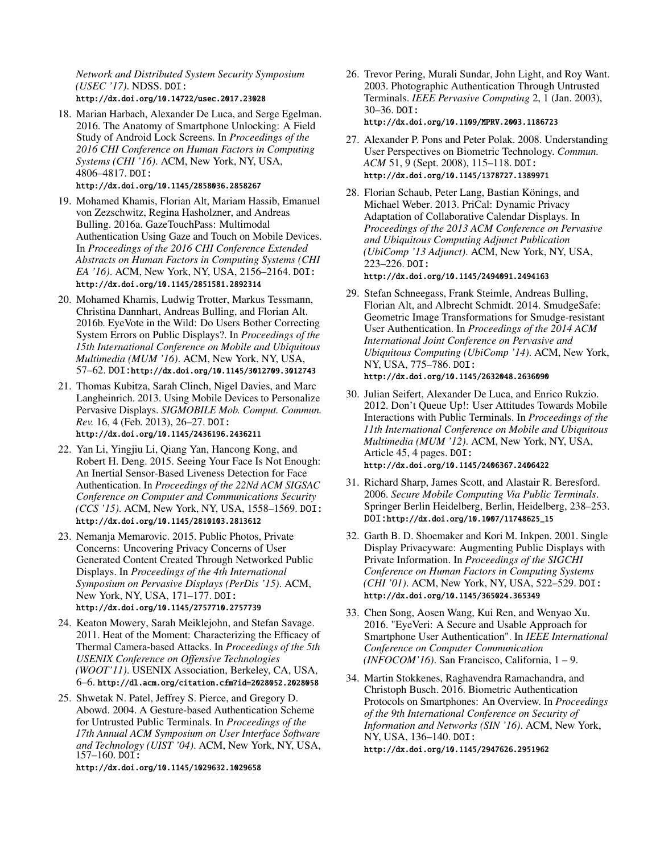*Network and Distributed System Security Symposium (USEC '17)*. NDSS. DOI: <http://dx.doi.org/10.14722/usec.2017.23028>

<span id="page-7-16"></span>18. Marian Harbach, Alexander De Luca, and Serge Egelman. 2016. The Anatomy of Smartphone Unlocking: A Field Study of Android Lock Screens. In *Proceedings of the 2016 CHI Conference on Human Factors in Computing Systems (CHI '16)*. ACM, New York, NY, USA, 4806–4817. DOI:

# <http://dx.doi.org/10.1145/2858036.2858267>

- <span id="page-7-2"></span>19. Mohamed Khamis, Florian Alt, Mariam Hassib, Emanuel von Zezschwitz, Regina Hasholzner, and Andreas Bulling. 2016a. GazeTouchPass: Multimodal Authentication Using Gaze and Touch on Mobile Devices. In *Proceedings of the 2016 CHI Conference Extended Abstracts on Human Factors in Computing Systems (CHI EA '16)*. ACM, New York, NY, USA, 2156–2164. DOI: <http://dx.doi.org/10.1145/2851581.2892314>
- <span id="page-7-15"></span>20. Mohamed Khamis, Ludwig Trotter, Markus Tessmann, Christina Dannhart, Andreas Bulling, and Florian Alt. 2016b. EyeVote in the Wild: Do Users Bother Correcting System Errors on Public Displays?. In *Proceedings of the 15th International Conference on Mobile and Ubiquitous Multimedia (MUM '16)*. ACM, New York, NY, USA, 57–62. DOI:<http://dx.doi.org/10.1145/3012709.3012743>
- <span id="page-7-0"></span>21. Thomas Kubitza, Sarah Clinch, Nigel Davies, and Marc Langheinrich. 2013. Using Mobile Devices to Personalize Pervasive Displays. *SIGMOBILE Mob. Comput. Commun. Rev.* 16, 4 (Feb. 2013), 26–27. DOI: <http://dx.doi.org/10.1145/2436196.2436211>
- <span id="page-7-10"></span>22. Yan Li, Yingjiu Li, Qiang Yan, Hancong Kong, and Robert H. Deng. 2015. Seeing Your Face Is Not Enough: An Inertial Sensor-Based Liveness Detection for Face Authentication. In *Proceedings of the 22Nd ACM SIGSAC Conference on Computer and Communications Security (CCS '15)*. ACM, New York, NY, USA, 1558–1569. DOI: <http://dx.doi.org/10.1145/2810103.2813612>
- <span id="page-7-1"></span>23. Nemanja Memarovic. 2015. Public Photos, Private Concerns: Uncovering Privacy Concerns of User Generated Content Created Through Networked Public Displays. In *Proceedings of the 4th International Symposium on Pervasive Displays (PerDis '15)*. ACM, New York, NY, USA, 171–177. DOI: <http://dx.doi.org/10.1145/2757710.2757739>
- <span id="page-7-3"></span>24. Keaton Mowery, Sarah Meiklejohn, and Stefan Savage. 2011. Heat of the Moment: Characterizing the Efficacy of Thermal Camera-based Attacks. In *Proceedings of the 5th USENIX Conference on Offensive Technologies (WOOT'11)*. USENIX Association, Berkeley, CA, USA, 6–6. <http://dl.acm.org/citation.cfm?id=2028052.2028058>
- <span id="page-7-4"></span>25. Shwetak N. Patel, Jeffrey S. Pierce, and Gregory D. Abowd. 2004. A Gesture-based Authentication Scheme for Untrusted Public Terminals. In *Proceedings of the 17th Annual ACM Symposium on User Interface Software and Technology (UIST '04)*. ACM, New York, NY, USA,  $157-160.$  DOI:

<http://dx.doi.org/10.1145/1029632.1029658>

<span id="page-7-5"></span>26. Trevor Pering, Murali Sundar, John Light, and Roy Want. 2003. Photographic Authentication Through Untrusted Terminals. *IEEE Pervasive Computing* 2, 1 (Jan. 2003), 30–36. DOI:

# <http://dx.doi.org/10.1109/MPRV.2003.1186723>

- <span id="page-7-11"></span>27. Alexander P. Pons and Peter Polak. 2008. Understanding User Perspectives on Biometric Technology. *Commun. ACM* 51, 9 (Sept. 2008), 115–118. DOI: <http://dx.doi.org/10.1145/1378727.1389971>
- <span id="page-7-7"></span>28. Florian Schaub, Peter Lang, Bastian Könings, and Michael Weber. 2013. PriCal: Dynamic Privacy Adaptation of Collaborative Calendar Displays. In *Proceedings of the 2013 ACM Conference on Pervasive and Ubiquitous Computing Adjunct Publication (UbiComp '13 Adjunct)*. ACM, New York, NY, USA, 223–226. DOI:

#### <http://dx.doi.org/10.1145/2494091.2494163>

- <span id="page-7-6"></span>29. Stefan Schneegass, Frank Steimle, Andreas Bulling, Florian Alt, and Albrecht Schmidt. 2014. SmudgeSafe: Geometric Image Transformations for Smudge-resistant User Authentication. In *Proceedings of the 2014 ACM International Joint Conference on Pervasive and Ubiquitous Computing (UbiComp '14)*. ACM, New York, NY, USA, 775–786. DOI: <http://dx.doi.org/10.1145/2632048.2636090>
- <span id="page-7-13"></span>30. Julian Seifert, Alexander De Luca, and Enrico Rukzio. 2012. Don't Queue Up!: User Attitudes Towards Mobile Interactions with Public Terminals. In *Proceedings of the 11th International Conference on Mobile and Ubiquitous Multimedia (MUM '12)*. ACM, New York, NY, USA, Article 45, 4 pages. DOI: <http://dx.doi.org/10.1145/2406367.2406422>
- <span id="page-7-14"></span>31. Richard Sharp, James Scott, and Alastair R. Beresford. 2006. *Secure Mobile Computing Via Public Terminals*. Springer Berlin Heidelberg, Berlin, Heidelberg, 238–253. DOI:[http://dx.doi.org/10.1007/11748625\\_15](http://dx.doi.org/10.1007/11748625_15)
- <span id="page-7-8"></span>32. Garth B. D. Shoemaker and Kori M. Inkpen. 2001. Single Display Privacyware: Augmenting Public Displays with Private Information. In *Proceedings of the SIGCHI Conference on Human Factors in Computing Systems (CHI '01)*. ACM, New York, NY, USA, 522–529. DOI: <http://dx.doi.org/10.1145/365024.365349>
- <span id="page-7-9"></span>33. Chen Song, Aosen Wang, Kui Ren, and Wenyao Xu. 2016. "EyeVeri: A Secure and Usable Approach for Smartphone User Authentication". In *IEEE International Conference on Computer Communication (INFOCOM'16)*. San Francisco, California, 1 – 9.
- <span id="page-7-12"></span>34. Martin Stokkenes, Raghavendra Ramachandra, and Christoph Busch. 2016. Biometric Authentication Protocols on Smartphones: An Overview. In *Proceedings of the 9th International Conference on Security of Information and Networks (SIN '16)*. ACM, New York, NY, USA, 136–140. DOI: <http://dx.doi.org/10.1145/2947626.2951962>